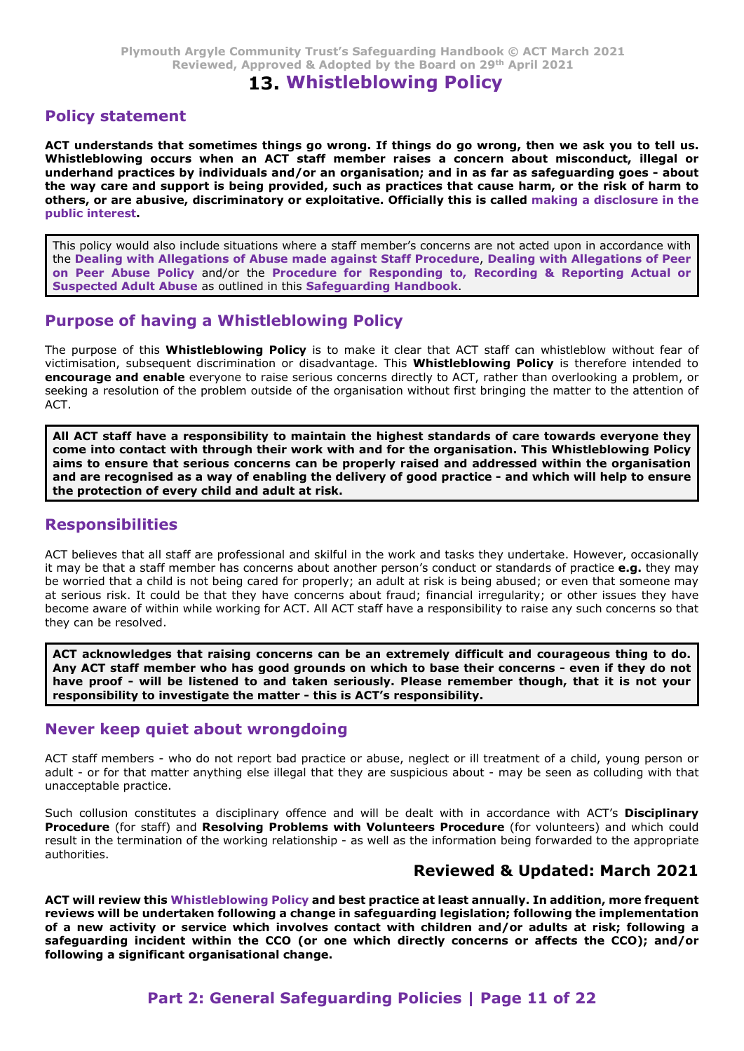# 13. Whistleblowing Policy

## Policy statement

Plymouth Argyle Community Trust's Safeguarding Handbook © ACT March 2021<br>Reviewed, Approved & Adopted by the Board on 29<sup>th</sup> April 2021<br>**13. Whistleblowing Policy**<br>**Policy statement**<br>MCT understands that sometimes things g Plymouth Argyle Community Trust's Safeguarding Handbook © ACT March 2021<br>Reviewed, Approved & Adopted by the Board on 29<sup>th</sup> April 2021<br>**13. Whistleblowing Policy**<br>**Policy statement**<br>ACT understands that sometimes things Plymouth Argyle Community Trust's Safeguarding Handbook  $\circled R$  ACT March 2021<br>
Reviewed, Approved & Adopted by the Board on 29<sup>th</sup> April 2021<br> **13. Whistleblowing Policy**<br> **Policy**<br> **Policy statement**<br>
ACT understands tha the way care and support is being provided, such as practices that cause harm, or the risk of harm to others, or are abusive, discriminatory or exploitative. Officially this is called making a disclosure in the public interest. Plymouth Argyle Community Trust's Safeguarding Handbook  $\odot$  ACT March 2021<br>
Reviewed, Approved & Adopted by the Board on 29<sup>th</sup> April 2021<br> **Surf understands that sometimes things go wrong. If things do go wrong, then w** Plymouth Argyle Community Trust's Safeguarding Handbook © ACT March 2021<br>Reviewed, Approved & Adopted by the Board on 29<sup>th</sup> April 2021<br>**20.**<br>**ACT understands that sometimes things go wrong. If things do ge wrong, then we** Plymouth Argyle Community Trust's Safeguarding Handbook © ACT March 2021<br>Reviewed, Approved & Adopted by the Board on 29<sup>th</sup> April 2021<br>**Policy statement**<br>**ACT understands that sometimes things ap wrong. If things do go w** Reviewed, Approved & Adopted by the Board on 29<sup>th</sup> April 2021<br> **Policy statement**<br>
ACT understands that sometimes things go wrong. If things do go wrong, then we ask you to tell us.<br>
Whistleblowing occurs when an ACT staf Collicy statement<br>
CT understands that sometimes things go wrong. If things do go wrong, then we ask you to tell us.<br>
Whistelebowing occurs when an ACT staff member raless a concern about misconduct, illegal or<br>
Indefinant CT understands that sometimes funige go worong. It trumps on ogo wrong, then we ask you to tell us.<br>Chistelblowing occurs when an ACT staff member raises a concern about misconduct, illegal or<br>nderhand practices by individ

This policy would also include situations where a staff member's concerns are not acted upon in accordance with the Dealing with Allegations of Abuse made against Staff Procedure, Dealing with Allegations of Peer on Peer Abuse Policy and/or the Procedure for Responding to, Recording & Reporting Actual or

victimisation, subsequent discrimination or disadvantage. This Whistleblowing Policy is therefore intended to ACT.

come into contact with through their work with and for the organisation. This Whistleblowing Policy aims to ensure that serious concerns can be properly raised and addressed within the organisation the protection of every child and adult at risk.

## Responsibilities

This policy would also include situations where a staff member's concerns are not acted upon in accordance with<br>the Dealing with Allegations of Pabue made against Staff Procedure, Dealing with Allegations of Peer<br>on Peer A it may be that a staff member has concerns about another person's conduct or standards of practice e.g. they may be worried that a child is not being cared for properly; an adult at risk is being abused; or even that someone may at serious risk. It could be that they have concerns about fraud; financial irregularity; or other issues they have become a response to the multiple income and the multiple include the state of the state of this Whisteleblowing Policy<br>The purpose of this Whisteleblowing Policy is to make it clear that ACT staff can whistleblow without they can be resolved. he purpose of this **Whistleblowing Policy** is to make it clear that ACT staff can whistleblow without fear of<br>ictimisation, subsequent discrimination or disaburatage. This **Whistleblowing Policy** is therefore intended to<br>i retimisation, subsequent discrimination or ustavantiage. In is Whistleblowing Policy is therefore intended to investigate the method or the problem or the problem outside of the organisation without first bringing the matt ALT act staff have a responsibility to maintain the highlest standards of care towards everyons they are also assume that errors are beyondy and are recognised as a way of enabling the delivery of good practice - and whic **Conce into connect with interact matter has more with and for the organisation. This Whitelable window is a simple of the originalisation and are recognised as a way of enabling the delivery of good practice - and which w** Responsibility to inverty emina undular units.<br>
Responsibilities<br>
ACT believes that all staff are professional and skillful in the work and tasks they undertake. However, occasionally<br>
be more that a staff member has conce **Responsibilities**<br>ACT believes that all staff are professional and skilful in the work and tasks they undertake. However, occasionally<br>the my be that a staff member has concerns about another person's conduct or standards

ACT acknowledges that raising concerns can be an extremely difficult and courageous thing to do. have proof - will be listened to and taken seriously. Please remember though, that it is not your

### Never keep quiet about wrongdoing

unacceptable practice.

Such collusion constitutes a disciplinary offence and will be dealt with in accordance with ACT's Disciplinary authorities.

# Reviewed & Updated: March 2021

nember who has good grounds on which to base ther concerns - even in they do not<br>dil be listened to and taken seriously. Please remember though, that it is not your<br>o investigate the matter - this is ACT's responsibility.<br> It may be that start member has concerns about another persons conduct or standards of practice e.g. they may<br>be conce and start in the this they have concerns about fraud financial inegularity, or other issues they have<br>b reviews will be undertaken following a change in safeguarding legislation; following the implementation of a new activity or service which involves contact with children and/or adults at risk; following a safeguarding incident within the CCO (or one which directly concerns or affects the CCO); and/or following a significant organisational change.